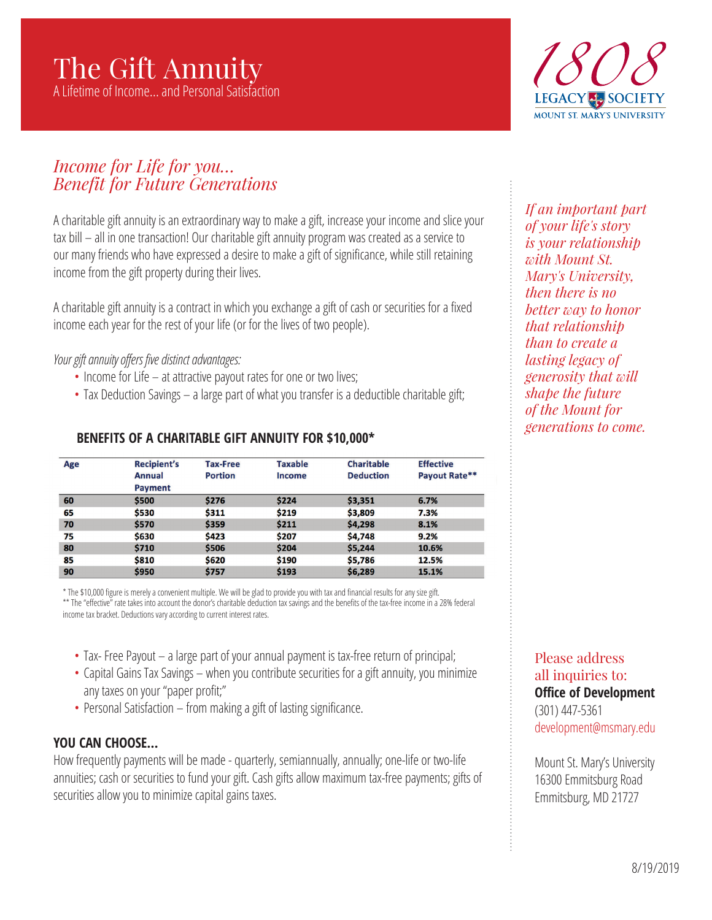# The Gift Annuity

A Lifetime of Income… and Personal Satisfaction



# *Income for Life for you… Benefit for Future Generations*

A charitable gift annuity is an extraordinary way to make a gift, increase your income and slice your tax bill – all in one transaction! Our charitable gift annuity program was created as a service to our many friends who have expressed a desire to make a gift of significance, while still retaining income from the gift property during their lives.

A charitable gift annuity is a contract in which you exchange a gift of cash or securities for a fixed income each year for the rest of your life (or for the lives of two people).

*Your gift annuity offers five distinct advantages:*

- Income for Life at attractive payout rates for one or two lives;
- Tax Deduction Savings a large part of what you transfer is a deductible charitable gift;

| Age | <b>Recipient's</b><br><b>Annual</b><br><b>Payment</b> | <b>Tax-Free</b><br><b>Portion</b> | <b>Taxable</b><br>Income | <b>Charitable</b><br><b>Deduction</b> | <b>Effective</b><br>Payout Rate** |
|-----|-------------------------------------------------------|-----------------------------------|--------------------------|---------------------------------------|-----------------------------------|
| 60  | \$500                                                 | \$276                             | \$224                    | \$3,351                               | 6.7%                              |
| 65  | \$530                                                 | \$311                             | \$219                    | \$3,809                               | 7.3%                              |
| 70  | \$570                                                 | \$359                             | \$211                    | \$4,298                               | 8.1%                              |
| 75  | \$630                                                 | \$423                             | \$207                    | \$4,748                               | 9.2%                              |
| 80  | \$710                                                 | \$506                             | \$204                    | \$5,244                               | 10.6%                             |
| 85  | \$810                                                 | \$620                             | \$190                    | \$5,786                               | 12.5%                             |
| 90  | \$950                                                 | \$757                             | \$193                    | \$6,289                               | 15.1%                             |

#### **BENEFITS OF A CHARITABLE GIFT ANNUITY FOR \$10,000\***

\* The \$10,000 figure is merely a convenient multiple. We will be glad to provide you with tax and financial results for any size gift. \*\* The "effective" rate takes into account the donor's charitable deduction tax savings and the benefits of the tax-free income in a 28% federal income tax bracket. Deductions vary according to current interest rates.

- Tax- Free Payout a large part of your annual payment is tax-free return of principal;
- Capital Gains Tax Savings when you contribute securities for a gift annuity, you minimize any taxes on your "paper profit;"
- Personal Satisfaction from making a gift of lasting significance.

# **YOU CAN CHOOSE…**

How frequently payments will be made - quarterly, semiannually, annually; one-life or two-life annuities; cash or securities to fund your gift. Cash gifts allow maximum tax-free payments; gifts of securities allow you to minimize capital gains taxes.

*If an important part of your life's story is your relationship with Mount St. Mary's University, then there is no better way to honor that relationship than to create a lasting legacy of generosity that will shape the future of the Mount for generations to come.*

#### Please address all inquiries to: **Office of Development** (301) 447-5361 development@msmary.edu

Mount St. Mary's University 16300 Emmitsburg Road Emmitsburg, MD 21727